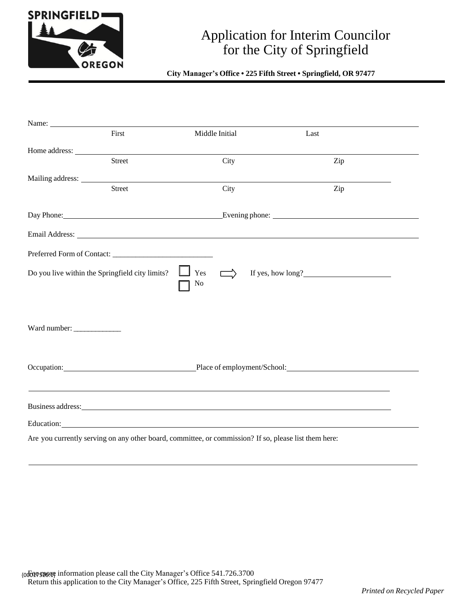

## Application for Interim Councilor for the City of Springfield

## **City Manager's Office • 225 Fifth Street • Springfield, OR 97477**

|                                                                                                       | Name:                                                                                                                                                                                                                          |                         |                                                                                                                                                                                                                                |                                                                     |
|-------------------------------------------------------------------------------------------------------|--------------------------------------------------------------------------------------------------------------------------------------------------------------------------------------------------------------------------------|-------------------------|--------------------------------------------------------------------------------------------------------------------------------------------------------------------------------------------------------------------------------|---------------------------------------------------------------------|
|                                                                                                       | First                                                                                                                                                                                                                          | Middle Initial          | Last                                                                                                                                                                                                                           |                                                                     |
|                                                                                                       | Home address: Note that the state of the state of the state of the state of the state of the state of the state of the state of the state of the state of the state of the state of the state of the state of the state of the |                         |                                                                                                                                                                                                                                |                                                                     |
|                                                                                                       | Street                                                                                                                                                                                                                         | City                    |                                                                                                                                                                                                                                | Zip                                                                 |
|                                                                                                       |                                                                                                                                                                                                                                |                         |                                                                                                                                                                                                                                |                                                                     |
|                                                                                                       | Street                                                                                                                                                                                                                         | City                    |                                                                                                                                                                                                                                | Zip                                                                 |
|                                                                                                       |                                                                                                                                                                                                                                |                         |                                                                                                                                                                                                                                |                                                                     |
|                                                                                                       |                                                                                                                                                                                                                                |                         |                                                                                                                                                                                                                                |                                                                     |
|                                                                                                       |                                                                                                                                                                                                                                |                         |                                                                                                                                                                                                                                |                                                                     |
|                                                                                                       |                                                                                                                                                                                                                                |                         |                                                                                                                                                                                                                                |                                                                     |
|                                                                                                       | Do you live within the Springfield city limits?                                                                                                                                                                                | Yes<br>$\implies$<br>No | If yes, how long?                                                                                                                                                                                                              |                                                                     |
|                                                                                                       |                                                                                                                                                                                                                                |                         |                                                                                                                                                                                                                                |                                                                     |
| Ward number:                                                                                          |                                                                                                                                                                                                                                |                         |                                                                                                                                                                                                                                |                                                                     |
|                                                                                                       |                                                                                                                                                                                                                                |                         |                                                                                                                                                                                                                                |                                                                     |
|                                                                                                       |                                                                                                                                                                                                                                |                         |                                                                                                                                                                                                                                | Occupation: Place of employment/School: Place of employment/School: |
|                                                                                                       |                                                                                                                                                                                                                                |                         |                                                                                                                                                                                                                                |                                                                     |
|                                                                                                       |                                                                                                                                                                                                                                |                         | Business address: Note that the contract of the contract of the contract of the contract of the contract of the contract of the contract of the contract of the contract of the contract of the contract of the contract of th |                                                                     |
|                                                                                                       |                                                                                                                                                                                                                                |                         |                                                                                                                                                                                                                                |                                                                     |
| Are you currently serving on any other board, committee, or commission? If so, please list them here: |                                                                                                                                                                                                                                |                         |                                                                                                                                                                                                                                |                                                                     |